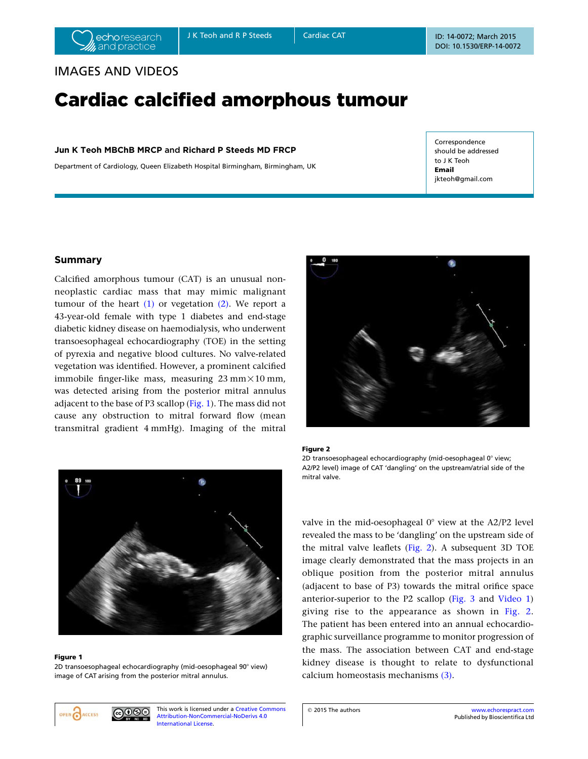# IMAGES AND VIDEOS

# Cardiac calcified amorphous tumour

# Jun K Teoh MBChB MRCP and Richard P Steeds MD FRCP

Department of Cardiology, Queen Elizabeth Hospital Birmingham, Birmingham, UK

**Correspondence** should be addressed to J K Teoh Email jkteoh@gmail.com

# Summary

Calcified amorphous tumour (CAT) is an unusual nonneoplastic cardiac mass that may mimic malignant tumour of the heart  $(1)$  or vegetation  $(2)$ . We report a 43-year-old female with type 1 diabetes and end-stage diabetic kidney disease on haemodialysis, who underwent transoesophageal echocardiography (TOE) in the setting of pyrexia and negative blood cultures. No valve-related vegetation was identified. However, a prominent calcified immobile finger-like mass, measuring  $23 \text{ mm} \times 10 \text{ mm}$ . was detected arising from the posterior mitral annulus adjacent to the base of P3 scallop (Fig. 1). The mass did not cause any obstruction to mitral forward flow (mean transmitral gradient 4 mmHg). Imaging of the mitral



#### Figure 2

2D transoesophageal echocardiography (mid-oesophageal  $0^{\circ}$  view; A2/P2 level) image of CAT 'dangling' on the upstream/atrial side of the mitral valve.

valve in the mid-oesophageal  $0^{\circ}$  view at the A2/P2 level revealed the mass to be 'dangling' on the upstream side of the mitral valve leaflets (Fig. 2). A subsequent 3D TOE image clearly demonstrated that the mass projects in an oblique position from the posterior mitral annulus (adjacent to base of P3) towards the mitral orifice space anterior-superior to the P2 scallop (Fig. 3 and Video 1) giving rise to the appearance as shown in Fig. 2. The patient has been entered into an annual echocardiographic surveillance programme to monitor progression of the mass. The association between CAT and end-stage kidney disease is thought to relate to dysfunctional calcium homeostasis mechanisms (3).

image of CAT arising from the posterior mitral annulus.

Figure 1

This work is licensed under a Creative Commons Attribution-NonCommercial-NoDerivs 4.0 International License.



2D transoesophageal echocardiography (mid-oesophageal 90° view)